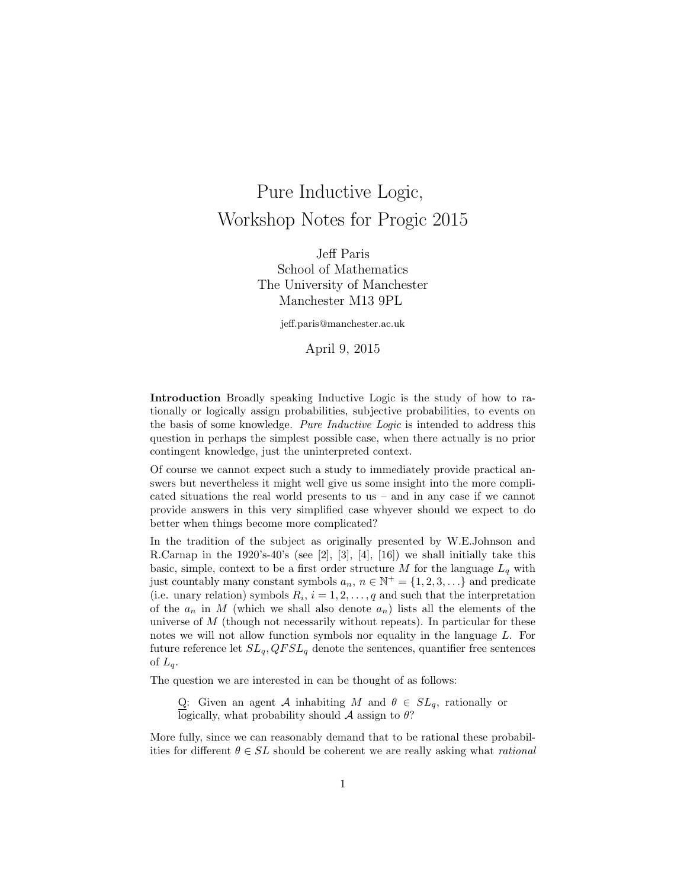# Pure Inductive Logic, Workshop Notes for Progic 2015

Jeff Paris School of Mathematics The University of Manchester Manchester M13 9PL

jeff.paris@manchester.ac.uk

April 9, 2015

Introduction Broadly speaking Inductive Logic is the study of how to rationally or logically assign probabilities, subjective probabilities, to events on the basis of some knowledge. Pure Inductive Logic is intended to address this question in perhaps the simplest possible case, when there actually is no prior contingent knowledge, just the uninterpreted context.

Of course we cannot expect such a study to immediately provide practical answers but nevertheless it might well give us some insight into the more complicated situations the real world presents to us – and in any case if we cannot provide answers in this very simplified case whyever should we expect to do better when things become more complicated?

In the tradition of the subject as originally presented by W.E.Johnson and R.Carnap in the 1920's-40's (see [2], [3], [4], [16]) we shall initially take this basic, simple, context to be a first order structure M for the language  $L_q$  with just countably many constant symbols  $a_n$ ,  $n \in \mathbb{N}^+ = \{1, 2, 3, \ldots\}$  and predicate (i.e. unary relation) symbols  $R_i$ ,  $i = 1, 2, ..., q$  and such that the interpretation of the  $a_n$  in M (which we shall also denote  $a_n$ ) lists all the elements of the universe of  $M$  (though not necessarily without repeats). In particular for these notes we will not allow function symbols nor equality in the language L. For future reference let  $SL_q$ ,  $QFSL_q$  denote the sentences, quantifier free sentences of  $L_q$ .

The question we are interested in can be thought of as follows:

Q: Given an agent A inhabiting M and  $\theta \in SL_q$ , rationally or logically, what probability should  $\mathcal A$  assign to  $\theta$ ?

More fully, since we can reasonably demand that to be rational these probabilities for different  $\theta \in SL$  should be coherent we are really asking what *rational*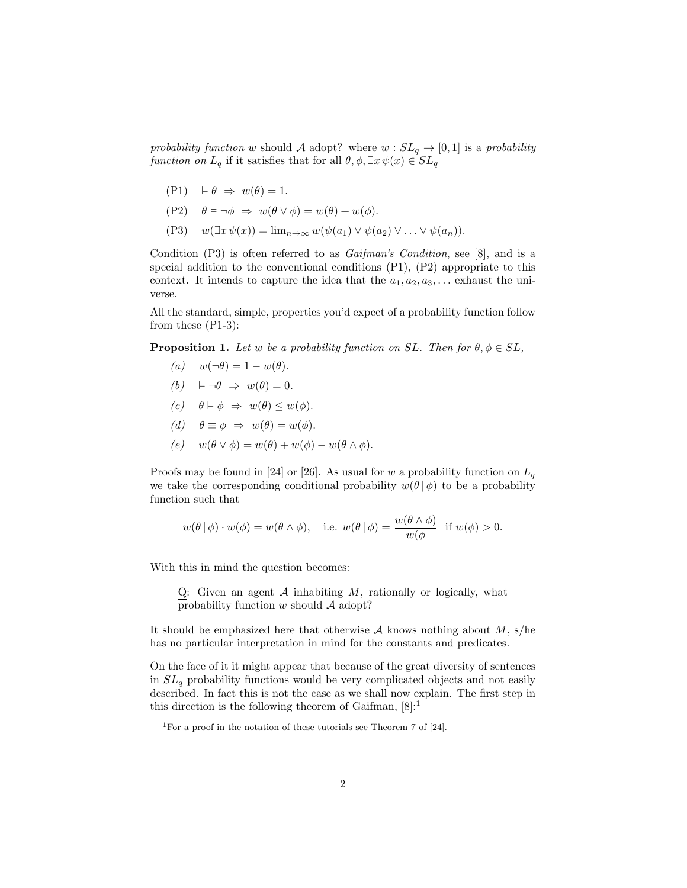probability function w should A adopt? where  $w : SL_q \to [0,1]$  is a probability function on  $L_q$  if it satisfies that for all  $\theta, \phi, \exists x \psi(x) \in SL_q$ 

- $(P1) \models \theta \Rightarrow w(\theta) = 1.$
- (P2)  $\theta \models \neg \phi \Rightarrow w(\theta \lor \phi) = w(\theta) + w(\phi).$
- (P3)  $w(\exists x \psi(x)) = \lim_{n \to \infty} w(\psi(a_1) \vee \psi(a_2) \vee \ldots \vee \psi(a_n)).$

Condition  $(P3)$  is often referred to as *Gaifman's Condition*, see [8], and is a special addition to the conventional conditions (P1), (P2) appropriate to this context. It intends to capture the idea that the  $a_1, a_2, a_3, \ldots$  exhaust the universe.

All the standard, simple, properties you'd expect of a probability function follow from these (P1-3):

**Proposition 1.** Let w be a probability function on SL. Then for  $\theta, \phi \in SL$ ,

- (a)  $w(\neg \theta) = 1 w(\theta)$ .
- (b)  $\models \neg \theta \Rightarrow w(\theta) = 0.$
- (c)  $\theta \models \phi \Rightarrow w(\theta) \leq w(\phi)$ .
- (d)  $\theta \equiv \phi \Rightarrow w(\theta) = w(\phi)$ .
- (e)  $w(\theta \vee \phi) = w(\theta) + w(\phi) w(\theta \wedge \phi).$

Proofs may be found in [24] or [26]. As usual for w a probability function on  $L_q$ we take the corresponding conditional probability  $w(\theta | \phi)$  to be a probability function such that

$$
w(\theta | \phi) \cdot w(\phi) = w(\theta \wedge \phi)
$$
, i.e.  $w(\theta | \phi) = \frac{w(\theta \wedge \phi)}{w(\phi)}$  if  $w(\phi) > 0$ .

With this in mind the question becomes:

Q: Given an agent  $A$  inhabiting  $M$ , rationally or logically, what probability function  $w$  should  $A$  adopt?

It should be emphasized here that otherwise  $A$  knows nothing about  $M$ , s/he has no particular interpretation in mind for the constants and predicates.

On the face of it it might appear that because of the great diversity of sentences in  $SL_q$  probability functions would be very complicated objects and not easily described. In fact this is not the case as we shall now explain. The first step in this direction is the following theorem of Gaifman,  $[8]$ :<sup>1</sup>

<sup>&</sup>lt;sup>1</sup>For a proof in the notation of these tutorials see Theorem 7 of [24].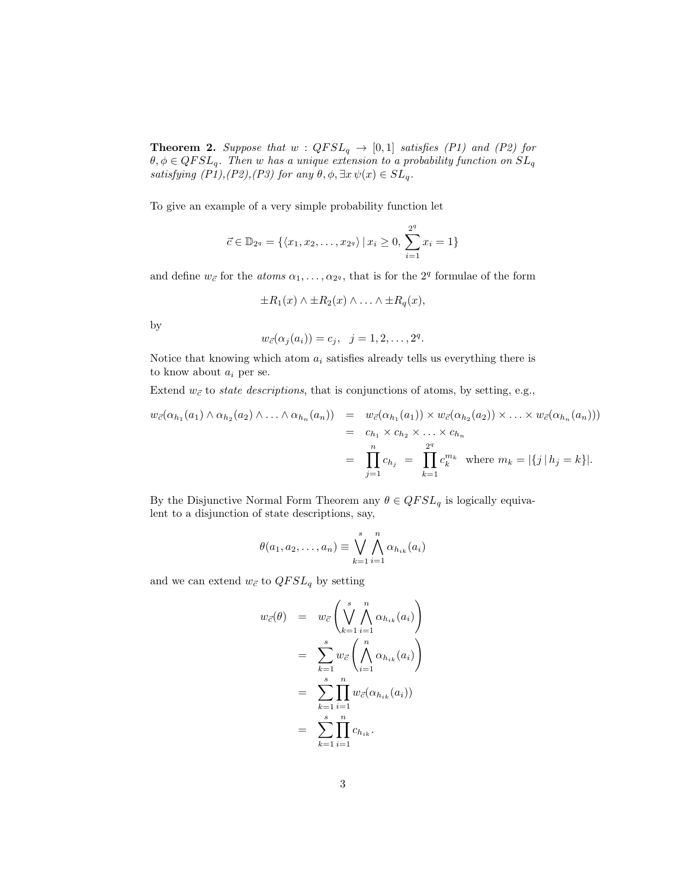**Theorem 2.** Suppose that  $w$  :  $QFSL_q \rightarrow [0,1]$  satisfies (P1) and (P2) for  $\theta, \phi \in QFSL_q$ . Then w has a unique extension to a probability function on  $SL_q$ satisfying  $(P1),(P2),(P3)$  for any  $\theta$ ,  $\phi$ ,  $\exists x \psi(x) \in SL_q$ .

To give an example of a very simple probability function let

$$
\vec{c} \in \mathbb{D}_{2^q} = \{ \langle x_1, x_2, \dots, x_{2^q} \rangle \, | \, x_i \ge 0, \, \sum_{i=1}^{2^q} x_i = 1 \}
$$

and define  $w_{\vec{c}}$  for the *atoms*  $\alpha_1, \ldots, \alpha_{2^q}$ , that is for the  $2^q$  formulae of the form

$$
\pm R_1(x) \wedge \pm R_2(x) \wedge \ldots \wedge \pm R_q(x),
$$

by

$$
w_{\vec{c}}(\alpha_j(a_i))=c_j, \ \ j=1,2,\ldots,2^q.
$$

Notice that knowing which atom  $a_i$  satisfies already tells us everything there is to know about  $a_i$  per se.

Extend  $w_{\vec{c}}$  to *state descriptions*, that is conjunctions of atoms, by setting, e.g.,

$$
w_{\vec{c}}(\alpha_{h_1}(a_1) \wedge \alpha_{h_2}(a_2) \wedge \ldots \wedge \alpha_{h_n}(a_n)) = w_{\vec{c}}(\alpha_{h_1}(a_1)) \times w_{\vec{c}}(\alpha_{h_2}(a_2)) \times \ldots \times w_{\vec{c}}(\alpha_{h_n}(a_n)))
$$
  
=  $c_{h_1} \times c_{h_2} \times \ldots \times c_{h_n}$   
=  $\prod_{j=1}^n c_{h_j} = \prod_{k=1}^{2^q} c_k^{m_k}$  where  $m_k = |\{j \mid h_j = k\}|$ .

By the Disjunctive Normal Form Theorem any  $\theta \in QFSL_q$  is logically equivalent to a disjunction of state descriptions, say,

$$
\theta(a_1, a_2, \dots, a_n) \equiv \bigvee_{k=1}^s \bigwedge_{i=1}^n \alpha_{h_{ik}}(a_i)
$$

and we can extend  $w_{\vec{c}}$  to  $QFSL_q$  by setting

$$
w_{\vec{c}}(\theta) = w_{\vec{c}} \left( \bigvee_{k=1}^{s} \bigwedge_{i=1}^{n} \alpha_{h_{ik}}(a_i) \right)
$$
  

$$
= \sum_{k=1}^{s} w_{\vec{c}} \left( \bigwedge_{i=1}^{n} \alpha_{h_{ik}}(a_i) \right)
$$
  

$$
= \sum_{k=1}^{s} \prod_{i=1}^{n} w_{\vec{c}}(\alpha_{h_{ik}}(a_i))
$$
  

$$
= \sum_{k=1}^{s} \prod_{i=1}^{n} c_{h_{ik}}.
$$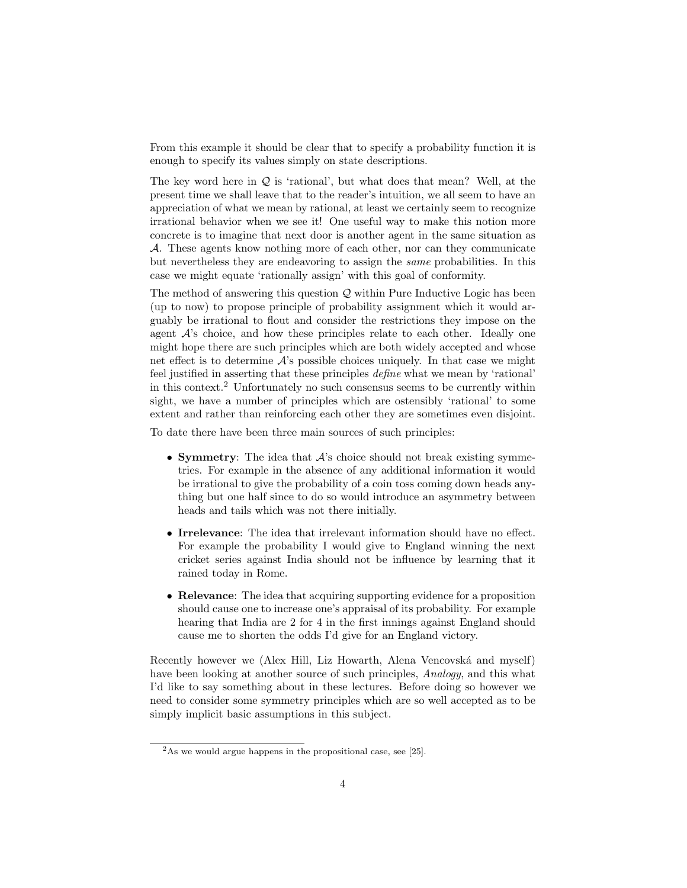From this example it should be clear that to specify a probability function it is enough to specify its values simply on state descriptions.

The key word here in  $Q$  is 'rational', but what does that mean? Well, at the present time we shall leave that to the reader's intuition, we all seem to have an appreciation of what we mean by rational, at least we certainly seem to recognize irrational behavior when we see it! One useful way to make this notion more concrete is to imagine that next door is another agent in the same situation as A. These agents know nothing more of each other, nor can they communicate but nevertheless they are endeavoring to assign the same probabilities. In this case we might equate 'rationally assign' with this goal of conformity.

The method of answering this question  $\mathcal{Q}$  within Pure Inductive Logic has been (up to now) to propose principle of probability assignment which it would arguably be irrational to flout and consider the restrictions they impose on the agent  $A$ 's choice, and how these principles relate to each other. Ideally one might hope there are such principles which are both widely accepted and whose net effect is to determine  $\mathcal{A}$ 's possible choices uniquely. In that case we might feel justified in asserting that these principles define what we mean by 'rational' in this context.<sup>2</sup> Unfortunately no such consensus seems to be currently within sight, we have a number of principles which are ostensibly 'rational' to some extent and rather than reinforcing each other they are sometimes even disjoint.

To date there have been three main sources of such principles:

- Symmetry: The idea that  $A$ 's choice should not break existing symmetries. For example in the absence of any additional information it would be irrational to give the probability of a coin toss coming down heads anything but one half since to do so would introduce an asymmetry between heads and tails which was not there initially.
- Irrelevance: The idea that irrelevant information should have no effect. For example the probability I would give to England winning the next cricket series against India should not be influence by learning that it rained today in Rome.
- Relevance: The idea that acquiring supporting evidence for a proposition should cause one to increase one's appraisal of its probability. For example hearing that India are 2 for 4 in the first innings against England should cause me to shorten the odds I'd give for an England victory.

Recently however we (Alex Hill, Liz Howarth, Alena Vencovská and myself) have been looking at another source of such principles, Analogy, and this what I'd like to say something about in these lectures. Before doing so however we need to consider some symmetry principles which are so well accepted as to be simply implicit basic assumptions in this subject.

 $2$ As we would argue happens in the propositional case, see [25].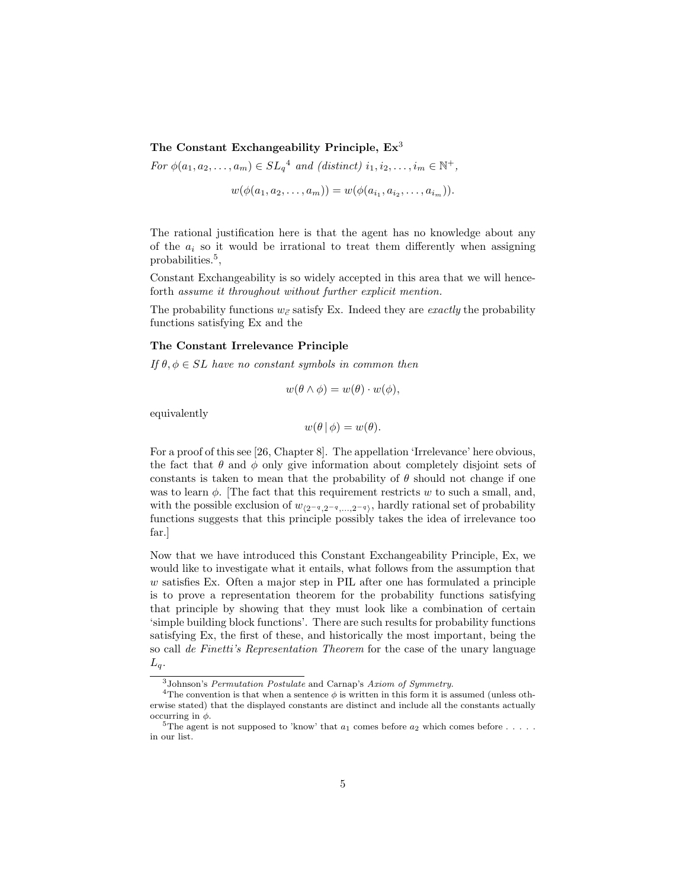# The Constant Exchangeability Principle,  $Ex^3$

For  $\phi(a_1, a_2, \ldots, a_m) \in SL_q^4$  and (distinct)  $i_1, i_2, \ldots, i_m \in \mathbb{N}^+,$ 

$$
w(\phi(a_1, a_2, \ldots, a_m)) = w(\phi(a_{i_1}, a_{i_2}, \ldots, a_{i_m})).
$$

The rational justification here is that the agent has no knowledge about any of the  $a_i$  so it would be irrational to treat them differently when assigning probabilities.<sup>5</sup>,

Constant Exchangeability is so widely accepted in this area that we will henceforth assume it throughout without further explicit mention.

The probability functions  $w_{\vec{c}}$  satisfy Ex. Indeed they are *exactly* the probability functions satisfying Ex and the

## The Constant Irrelevance Principle

If  $\theta, \phi \in SL$  have no constant symbols in common then

$$
w(\theta \wedge \phi) = w(\theta) \cdot w(\phi),
$$

equivalently

$$
w(\theta | \phi) = w(\theta).
$$

For a proof of this see [26, Chapter 8]. The appellation 'Irrelevance' here obvious, the fact that  $\theta$  and  $\phi$  only give information about completely disjoint sets of constants is taken to mean that the probability of  $\theta$  should not change if one was to learn  $\phi$ . [The fact that this requirement restricts w to such a small, and, with the possible exclusion of  $w_{(2^{-q},2^{-q},...,2^{-q})}$ , hardly rational set of probability functions suggests that this principle possibly takes the idea of irrelevance too far.]

Now that we have introduced this Constant Exchangeability Principle, Ex, we would like to investigate what it entails, what follows from the assumption that w satisfies Ex. Often a major step in PIL after one has formulated a principle is to prove a representation theorem for the probability functions satisfying that principle by showing that they must look like a combination of certain 'simple building block functions'. There are such results for probability functions satisfying Ex, the first of these, and historically the most important, being the so call de Finetti's Representation Theorem for the case of the unary language  $L_q$ .

<sup>3</sup>Johnson's Permutation Postulate and Carnap's Axiom of Symmetry.

<sup>&</sup>lt;sup>4</sup>The convention is that when a sentence  $\phi$  is written in this form it is assumed (unless otherwise stated) that the displayed constants are distinct and include all the constants actually occurring in  $\phi$ .

 ${}^{5}$ The agent is not supposed to 'know' that  $a_1$  comes before  $a_2$  which comes before . . . . . in our list.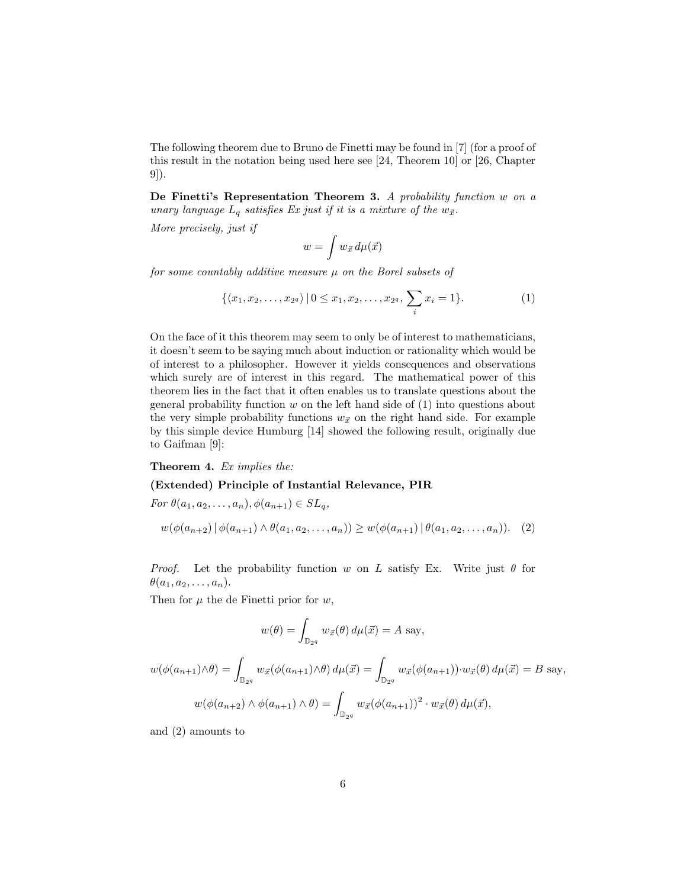The following theorem due to Bruno de Finetti may be found in [7] (for a proof of this result in the notation being used here see [24, Theorem 10] or [26, Chapter 9]).

De Finetti's Representation Theorem 3. A probability function w on a unary language  $L_q$  satisfies Ex just if it is a mixture of the  $w_{\vec{x}}$ .

More precisely, just if

$$
w = \int w_{\vec{x}} \, d\mu(\vec{x})
$$

for some countably additive measure  $\mu$  on the Borel subsets of

$$
\{\langle x_1, x_2, \ldots, x_{2^q} \rangle \, | \, 0 \le x_1, x_2, \ldots, x_{2^q}, \, \sum_i x_i = 1 \}. \tag{1}
$$

On the face of it this theorem may seem to only be of interest to mathematicians, it doesn't seem to be saying much about induction or rationality which would be of interest to a philosopher. However it yields consequences and observations which surely are of interest in this regard. The mathematical power of this theorem lies in the fact that it often enables us to translate questions about the general probability function  $w$  on the left hand side of  $(1)$  into questions about the very simple probability functions  $w_{\vec{x}}$  on the right hand side. For example by this simple device Humburg [14] showed the following result, originally due to Gaifman [9]:

#### Theorem 4. Ex implies the:

## (Extended) Principle of Instantial Relevance, PIR

For  $\theta(a_1, a_2, \ldots, a_n), \phi(a_{n+1}) \in SL_q$ ,  $w(\phi(a_{n+2})|\phi(a_{n+1})\wedge\theta(a_1,a_2,\ldots,a_n))\geq w(\phi(a_{n+1})|\theta(a_1,a_2,\ldots,a_n)).$  (2)

*Proof.* Let the probability function w on L satisfy Ex. Write just  $\theta$  for  $\theta(a_1, a_2, \ldots, a_n).$ 

Then for  $\mu$  the de Finetti prior for  $w$ ,

$$
w(\theta) = \int_{\mathbb{D}_{2^q}} w_{\vec{x}}(\theta) d\mu(\vec{x}) = A \text{ say},
$$

$$
w(\phi(a_{n+1}) \wedge \theta) = \int_{\mathbb{D}_{2^q}} w_{\vec{x}}(\phi(a_{n+1}) \wedge \theta) d\mu(\vec{x}) = \int_{\mathbb{D}_{2^q}} w_{\vec{x}}(\phi(a_{n+1})) \cdot w_{\vec{x}}(\theta) d\mu(\vec{x}) = B \text{ say},
$$

$$
w(\phi(a_{n+2}) \wedge \phi(a_{n+1}) \wedge \theta) = \int_{\mathbb{D}_{2^q}} w_{\vec{x}}(\phi(a_{n+1}))^2 \cdot w_{\vec{x}}(\theta) d\mu(\vec{x}),
$$

and (2) amounts to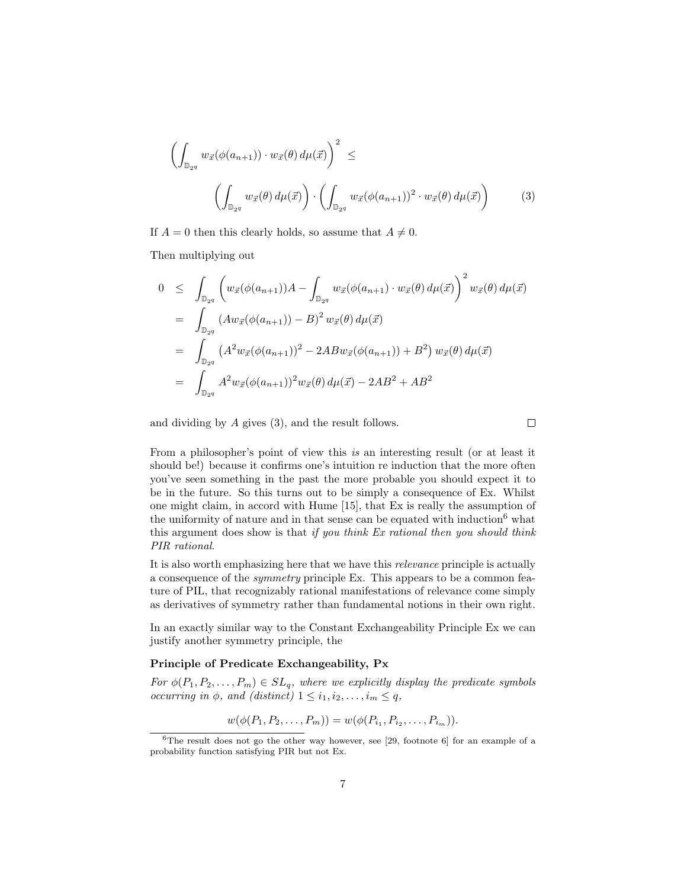$$
\left(\int_{\mathbb{D}_{2^q}} w_{\vec{x}}(\phi(a_{n+1})) \cdot w_{\vec{x}}(\theta) d\mu(\vec{x})\right)^2 \leq \left(\int_{\mathbb{D}_{2^q}} w_{\vec{x}}(\theta) d\mu(\vec{x})\right) \cdot \left(\int_{\mathbb{D}_{2^q}} w_{\vec{x}}(\phi(a_{n+1}))^2 \cdot w_{\vec{x}}(\theta) d\mu(\vec{x})\right)
$$
(3)

If  $A = 0$  then this clearly holds, so assume that  $A \neq 0$ .

Then multiplying out

$$
0 \leq \int_{\mathbb{D}_{2q}} \left( w_{\vec{x}}(\phi(a_{n+1})) A - \int_{\mathbb{D}_{2q}} w_{\vec{x}}(\phi(a_{n+1}) \cdot w_{\vec{x}}(\theta) d\mu(\vec{x}) \right)^2 w_{\vec{x}}(\theta) d\mu(\vec{x})
$$
  
\n
$$
= \int_{\mathbb{D}_{2q}} (Aw_{\vec{x}}(\phi(a_{n+1})) - B)^2 w_{\vec{x}}(\theta) d\mu(\vec{x})
$$
  
\n
$$
= \int_{\mathbb{D}_{2q}} (A^2 w_{\vec{x}}(\phi(a_{n+1}))^2 - 2ABw_{\vec{x}}(\phi(a_{n+1})) + B^2) w_{\vec{x}}(\theta) d\mu(\vec{x})
$$
  
\n
$$
= \int_{\mathbb{D}_{2q}} A^2 w_{\vec{x}}(\phi(a_{n+1}))^2 w_{\vec{x}}(\theta) d\mu(\vec{x}) - 2AB^2 + AB^2
$$

and dividing by A gives (3), and the result follows.

From a philosopher's point of view this is an interesting result (or at least it should be!) because it confirms one's intuition re induction that the more often you've seen something in the past the more probable you should expect it to be in the future. So this turns out to be simply a consequence of Ex. Whilst one might claim, in accord with Hume [15], that Ex is really the assumption of the uniformity of nature and in that sense can be equated with induction<sup>6</sup> what this argument does show is that if you think  $Ex$  rational then you should think PIR rational.

It is also worth emphasizing here that we have this relevance principle is actually a consequence of the symmetry principle Ex. This appears to be a common feature of PIL, that recognizably rational manifestations of relevance come simply as derivatives of symmetry rather than fundamental notions in their own right.

In an exactly similar way to the Constant Exchangeability Principle Ex we can justify another symmetry principle, the

## Principle of Predicate Exchangeability, Px

For  $\phi(P_1, P_2, \ldots, P_m) \in SL_q$ , where we explicitly display the predicate symbols occurring in  $\phi$ , and (distinct)  $1 \leq i_1, i_2, \ldots, i_m \leq q$ ,

$$
w(\phi(P_1, P_2, \dots, P_m)) = w(\phi(P_{i_1}, P_{i_2}, \dots, P_{i_m})).
$$

 $\Box$ 

<sup>&</sup>lt;sup>6</sup>The result does not go the other way however, see [29, footnote 6] for an example of a probability function satisfying PIR but not Ex.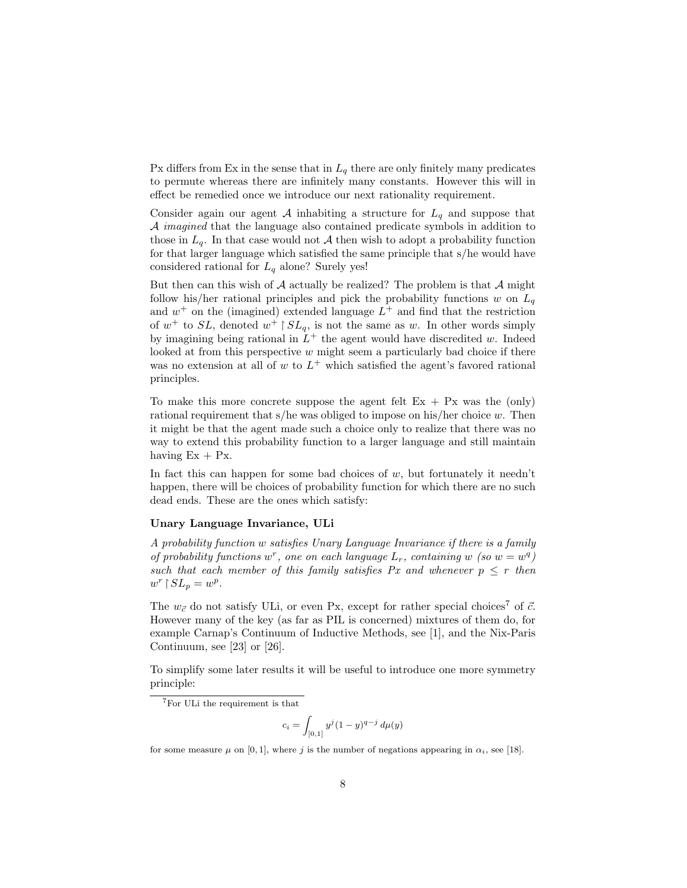Px differs from Ex in the sense that in  $L_q$  there are only finitely many predicates to permute whereas there are infinitely many constants. However this will in effect be remedied once we introduce our next rationality requirement.

Consider again our agent A inhabiting a structure for  $L_q$  and suppose that  $A$  *imagined* that the language also contained predicate symbols in addition to those in  $L_q$ . In that case would not A then wish to adopt a probability function for that larger language which satisfied the same principle that s/he would have considered rational for  $L_q$  alone? Surely yes!

But then can this wish of  $A$  actually be realized? The problem is that  $A$  might follow his/her rational principles and pick the probability functions w on  $L_q$ and  $w^+$  on the (imagined) extended language  $L^+$  and find that the restriction of  $w^+$  to SL, denoted  $w^+$  |  $SL_q$ , is not the same as w. In other words simply by imagining being rational in  $L^+$  the agent would have discredited w. Indeed looked at from this perspective w might seem a particularly bad choice if there was no extension at all of  $w$  to  $L^+$  which satisfied the agent's favored rational principles.

To make this more concrete suppose the agent felt  $Ex + Px$  was the (only) rational requirement that s/he was obliged to impose on his/her choice  $w$ . Then it might be that the agent made such a choice only to realize that there was no way to extend this probability function to a larger language and still maintain having  $Ex + Px$ .

In fact this can happen for some bad choices of  $w$ , but fortunately it needn't happen, there will be choices of probability function for which there are no such dead ends. These are the ones which satisfy:

# Unary Language Invariance, ULi

A probability function w satisfies Unary Language Invariance if there is a family of probability functions  $w^r$ , one on each language  $L_r$ , containing w (so  $w = w^q$ ) such that each member of this family satisfies Px and whenever  $p \leq r$  then  $w^r \upharpoonright SL_p = w^p.$ 

The  $w_{\vec{c}}$  do not satisfy ULi, or even Px, except for rather special choices<sup>7</sup> of  $\vec{c}$ . However many of the key (as far as PIL is concerned) mixtures of them do, for example Carnap's Continuum of Inductive Methods, see [1], and the Nix-Paris Continuum, see [23] or [26].

To simplify some later results it will be useful to introduce one more symmetry principle:

$$
c_i = \int_{[0,1]} y^j (1-y)^{q-j} d\mu(y)
$$

for some measure  $\mu$  on [0, 1], where j is the number of negations appearing in  $\alpha_i$ , see [18].

<sup>7</sup>For ULi the requirement is that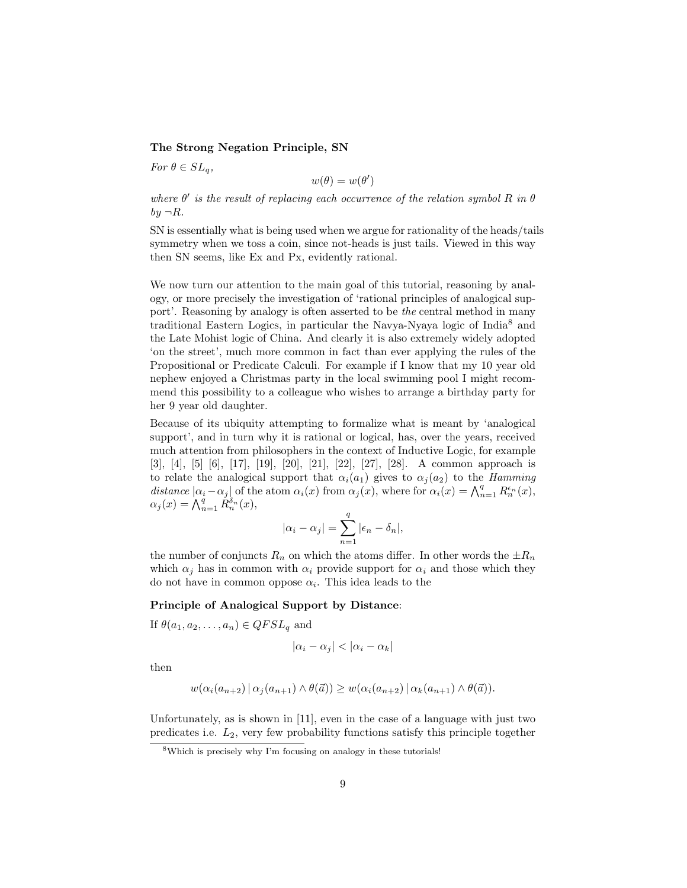# The Strong Negation Principle, SN

For  $\theta \in SL_a$ ,

 $w(\theta) = w(\theta')$ 

where  $\theta'$  is the result of replacing each occurrence of the relation symbol R in  $\theta$  $by \neg R$ .

SN is essentially what is being used when we argue for rationality of the heads/tails symmetry when we toss a coin, since not-heads is just tails. Viewed in this way then SN seems, like Ex and Px, evidently rational.

We now turn our attention to the main goal of this tutorial, reasoning by analogy, or more precisely the investigation of 'rational principles of analogical support'. Reasoning by analogy is often asserted to be the central method in many traditional Eastern Logics, in particular the Navya-Nyaya logic of India<sup>8</sup> and the Late Mohist logic of China. And clearly it is also extremely widely adopted 'on the street', much more common in fact than ever applying the rules of the Propositional or Predicate Calculi. For example if I know that my 10 year old nephew enjoyed a Christmas party in the local swimming pool I might recommend this possibility to a colleague who wishes to arrange a birthday party for her 9 year old daughter.

Because of its ubiquity attempting to formalize what is meant by 'analogical support', and in turn why it is rational or logical, has, over the years, received much attention from philosophers in the context of Inductive Logic, for example [3], [4], [5] [6], [17], [19], [20], [21], [22], [27], [28]. A common approach is to relate the analogical support that  $\alpha_i(a_1)$  gives to  $\alpha_j(a_2)$  to the *Hamming* distance  $|\alpha_i - \alpha_j|$  of the atom  $\alpha_i(x)$  from  $\alpha_j(x)$ , where for  $\alpha_i(x) = \bigwedge_{n=1}^q R_n^{\epsilon_n}(x)$ ,  $\alpha_j(x) = \bigwedge_{n=1}^q R_n^{\delta_n}(x),$ 

$$
|\alpha_i - \alpha_j| = \sum_{n=1}^q |\epsilon_n - \delta_n|,
$$

the number of conjuncts  $R_n$  on which the atoms differ. In other words the  $\pm R_n$ which  $\alpha_j$  has in common with  $\alpha_i$  provide support for  $\alpha_i$  and those which they do not have in common oppose  $\alpha_i$ . This idea leads to the

#### Principle of Analogical Support by Distance:

If  $\theta(a_1, a_2, \ldots, a_n) \in QFSL_q$  and

$$
|\alpha_i - \alpha_j| < |\alpha_i - \alpha_k|
$$

then

$$
w(\alpha_i(a_{n+2}) \mid \alpha_j(a_{n+1}) \wedge \theta(\vec{a})) \geq w(\alpha_i(a_{n+2}) \mid \alpha_k(a_{n+1}) \wedge \theta(\vec{a})).
$$

Unfortunately, as is shown in [11], even in the case of a language with just two predicates i.e.  $L_2$ , very few probability functions satisfy this principle together

<sup>8</sup>Which is precisely why I'm focusing on analogy in these tutorials!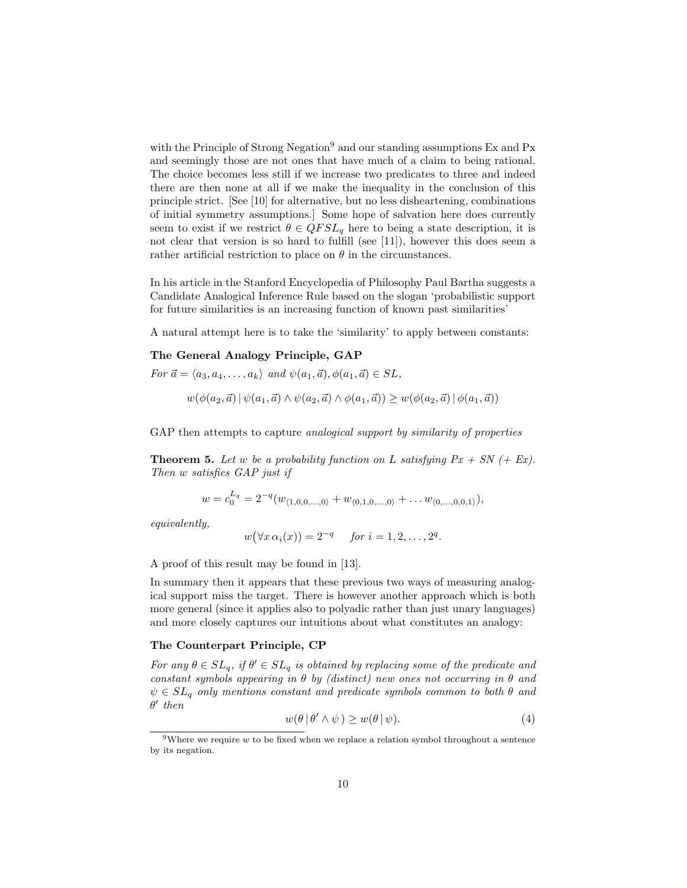with the Principle of Strong Negation<sup>9</sup> and our standing assumptions Ex and Px and seemingly those are not ones that have much of a claim to being rational. The choice becomes less still if we increase two predicates to three and indeed there are then none at all if we make the inequality in the conclusion of this principle strict. [See [10] for alternative, but no less disheartening, combinations of initial symmetry assumptions.] Some hope of salvation here does currently seem to exist if we restrict  $\theta \in QFSL_q$  here to being a state description, it is not clear that version is so hard to fulfill (see [11]), however this does seem a rather artificial restriction to place on  $\theta$  in the circumstances.

In his article in the Stanford Encyclopedia of Philosophy Paul Bartha suggests a Candidate Analogical Inference Rule based on the slogan 'probabilistic support for future similarities is an increasing function of known past similarities'

A natural attempt here is to take the 'similarity' to apply between constants:

# The General Analogy Principle, GAP

For 
$$
\vec{a} = \langle a_3, a_4, \dots, a_k \rangle
$$
 and  $\psi(a_1, \vec{a}), \phi(a_1, \vec{a}) \in SL$ ,  
\n
$$
w(\phi(a_2, \vec{a}) | \psi(a_1, \vec{a}) \wedge \psi(a_2, \vec{a}) \wedge \phi(a_1, \vec{a})) \geq w(\phi(a_2, \vec{a}) | \phi(a_1, \vec{a}))
$$

GAP then attempts to capture *analogical support by similarity of properties* 

**Theorem 5.** Let w be a probability function on L satisfying  $Px + SN$  (+ Ex). Then w satisfies GAP just if

$$
w = c_0^{L_q} = 2^{-q}(w_{\langle 1,0,0,\dots,0\rangle} + w_{\langle 0,1,0,\dots,0\rangle} + \dots w_{\langle 0,\dots,0,0,1\rangle}),
$$

equivalently,

$$
w(\forall x \alpha_i(x)) = 2^{-q} \quad \text{for } i = 1, 2, \dots, 2^q.
$$

A proof of this result may be found in [13].

In summary then it appears that these previous two ways of measuring analogical support miss the target. There is however another approach which is both more general (since it applies also to polyadic rather than just unary languages) and more closely captures our intuitions about what constitutes an analogy:

#### The Counterpart Principle, CP

For any  $\theta \in SL_q$ , if  $\theta' \in SL_q$  is obtained by replacing some of the predicate and constant symbols appearing in  $\theta$  by (distinct) new ones not occurring in  $\theta$  and  $\psi \in SL_q$  only mentions constant and predicate symbols common to both  $\theta$  and  $\theta'$  then

$$
w(\theta | \theta' \wedge \psi) \ge w(\theta | \psi).
$$
 (4)

 $9$ Where we require w to be fixed when we replace a relation symbol throughout a sentence by its negation.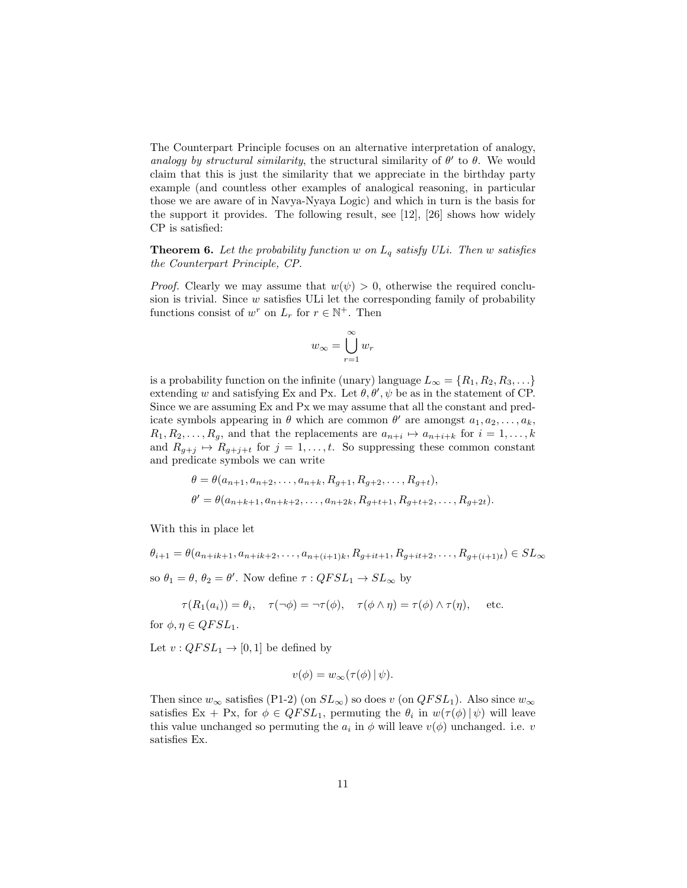The Counterpart Principle focuses on an alternative interpretation of analogy, analogy by structural similarity, the structural similarity of  $\theta'$  to  $\theta$ . We would claim that this is just the similarity that we appreciate in the birthday party example (and countless other examples of analogical reasoning, in particular those we are aware of in Navya-Nyaya Logic) and which in turn is the basis for the support it provides. The following result, see [12], [26] shows how widely CP is satisfied:

**Theorem 6.** Let the probability function w on  $L_q$  satisfy ULi. Then w satisfies the Counterpart Principle, CP.

*Proof.* Clearly we may assume that  $w(\psi) > 0$ , otherwise the required conclusion is trivial. Since  $w$  satisfies ULi let the corresponding family of probability functions consist of  $w^r$  on  $L_r$  for  $r \in \mathbb{N}^+$ . Then

$$
w_{\infty} = \bigcup_{r=1}^{\infty} w_r
$$

is a probability function on the infinite (unary) language  $L_{\infty} = \{R_1, R_2, R_3, \ldots\}$ extending w and satisfying Ex and Px. Let  $\theta$ ,  $\theta'$ ,  $\psi$  be as in the statement of CP. Since we are assuming Ex and Px we may assume that all the constant and predicate symbols appearing in  $\theta$  which are common  $\theta'$  are amongst  $a_1, a_2, \ldots, a_k$ ,  $R_1, R_2, \ldots, R_g$ , and that the replacements are  $a_{n+i} \mapsto a_{n+i+k}$  for  $i = 1, \ldots, k$ and  $R_{g+j} \mapsto R_{g+j+t}$  for  $j = 1, ..., t$ . So suppressing these common constant and predicate symbols we can write

$$
\theta = \theta(a_{n+1}, a_{n+2}, \dots, a_{n+k}, R_{g+1}, R_{g+2}, \dots, R_{g+t}),
$$
  

$$
\theta' = \theta(a_{n+k+1}, a_{n+k+2}, \dots, a_{n+2k}, R_{g+t+1}, R_{g+t+2}, \dots, R_{g+2t}).
$$

With this in place let

 $\theta_{i+1} = \theta(a_{n+ik+1}, a_{n+ik+2}, \ldots, a_{n+(i+1)k}, R_{q+it+1}, R_{q+it+2}, \ldots, R_{q+(i+1)t}) \in SL_{\infty}$ so  $\theta_1 = \theta$ ,  $\theta_2 = \theta'$ . Now define  $\tau : QFSL_1 \to SL_{\infty}$  by

$$
\tau(R_1(a_i)) = \theta_i, \quad \tau(\neg \phi) = \neg \tau(\phi), \quad \tau(\phi \land \eta) = \tau(\phi) \land \tau(\eta), \quad \text{etc.}
$$

for  $\phi, \eta \in QFSL_1$ .

Let  $v: QFSL_1 \rightarrow [0, 1]$  be defined by

$$
v(\phi) = w_{\infty}(\tau(\phi) \,|\, \psi).
$$

Then since  $w_{\infty}$  satisfies (P1-2) (on  $SL_{\infty}$ ) so does v (on  $QFSL_1$ ). Also since  $w_{\infty}$ satisfies Ex + Px, for  $\phi \in QFSL_1$ , permuting the  $\theta_i$  in  $w(\tau(\phi) | \psi)$  will leave this value unchanged so permuting the  $a_i$  in  $\phi$  will leave  $v(\phi)$  unchanged. i.e. v satisfies Ex.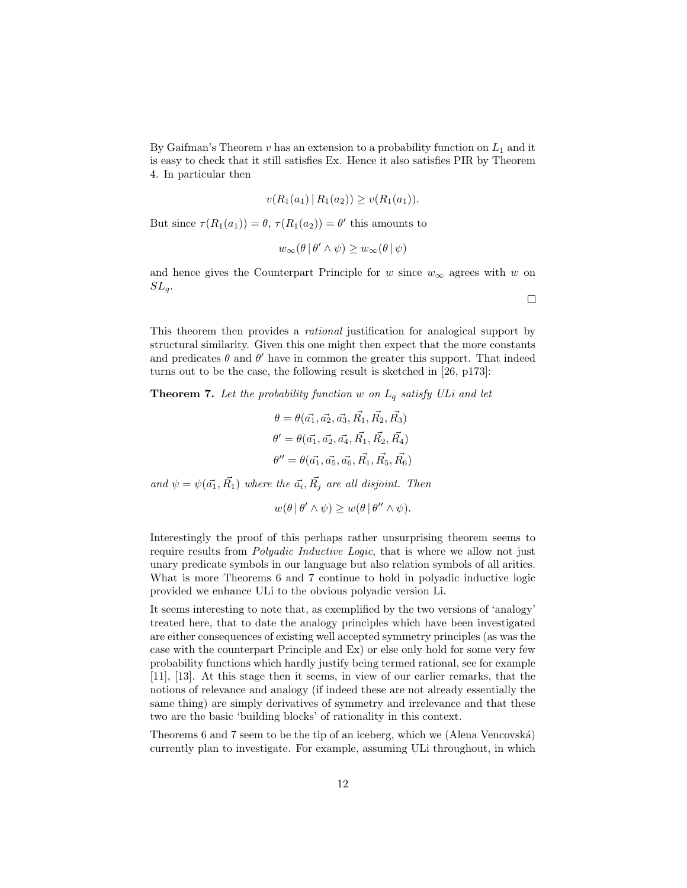By Gaifman's Theorem  $v$  has an extension to a probability function on  $L_1$  and it is easy to check that it still satisfies Ex. Hence it also satisfies PIR by Theorem 4. In particular then

$$
v(R_1(a_1) | R_1(a_2)) \ge v(R_1(a_1)).
$$

But since  $\tau(R_1(a_1)) = \theta$ ,  $\tau(R_1(a_2)) = \theta'$  this amounts to

$$
w_{\infty}(\theta \,|\, \theta' \wedge \psi) \geq w_{\infty}(\theta \,|\, \psi)
$$

and hence gives the Counterpart Principle for w since  $w_{\infty}$  agrees with w on  $SL_a$ .

This theorem then provides a rational justification for analogical support by structural similarity. Given this one might then expect that the more constants and predicates  $\theta$  and  $\theta'$  have in common the greater this support. That indeed turns out to be the case, the following result is sketched in [26, p173]:

**Theorem 7.** Let the probability function w on  $L_q$  satisfy ULi and let

$$
\theta = \theta(\vec{a_1}, \vec{a_2}, \vec{a_3}, \vec{R_1}, \vec{R_2}, \vec{R_3})
$$
  

$$
\theta' = \theta(\vec{a_1}, \vec{a_2}, \vec{a_4}, \vec{R_1}, \vec{R_2}, \vec{R_4})
$$
  

$$
\theta'' = \theta(\vec{a_1}, \vec{a_5}, \vec{a_6}, \vec{R_1}, \vec{R_5}, \vec{R_6})
$$

and  $\psi = \psi(\vec{a_1}, \vec{R_1})$  where the  $\vec{a_i}, \vec{R_j}$  are all disjoint. Then

$$
w(\theta | \theta' \wedge \psi) \geq w(\theta | \theta'' \wedge \psi).
$$

Interestingly the proof of this perhaps rather unsurprising theorem seems to require results from *Polyadic Inductive Logic*, that is where we allow not just unary predicate symbols in our language but also relation symbols of all arities. What is more Theorems 6 and 7 continue to hold in polyadic inductive logic provided we enhance ULi to the obvious polyadic version Li.

It seems interesting to note that, as exemplified by the two versions of 'analogy' treated here, that to date the analogy principles which have been investigated are either consequences of existing well accepted symmetry principles (as was the case with the counterpart Principle and Ex) or else only hold for some very few probability functions which hardly justify being termed rational, see for example [11], [13]. At this stage then it seems, in view of our earlier remarks, that the notions of relevance and analogy (if indeed these are not already essentially the same thing) are simply derivatives of symmetry and irrelevance and that these two are the basic 'building blocks' of rationality in this context.

Theorems 6 and 7 seem to be the tip of an iceberg, which we (Alena Vencovská) currently plan to investigate. For example, assuming ULi throughout, in which

 $\Box$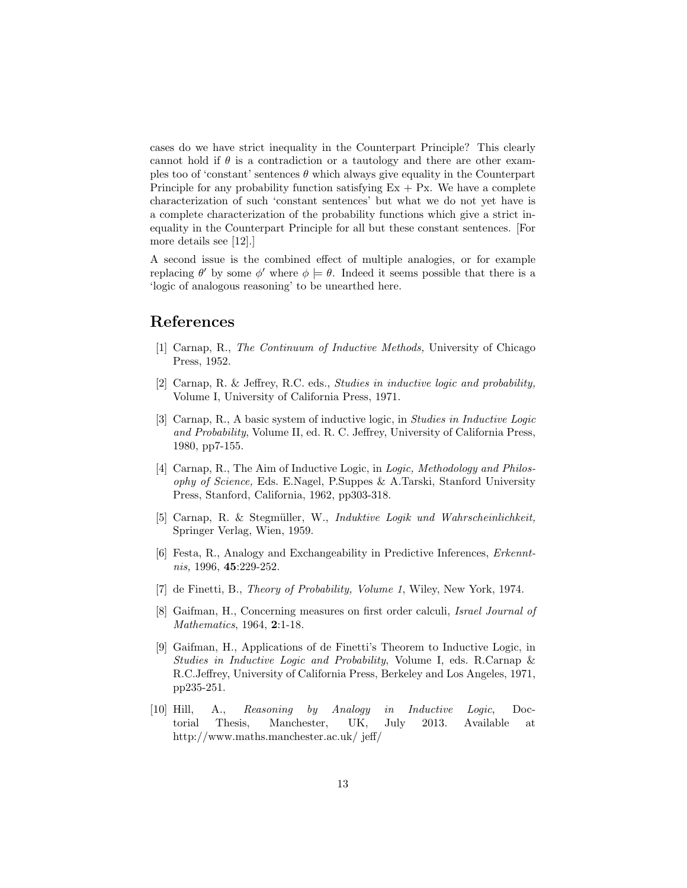cases do we have strict inequality in the Counterpart Principle? This clearly cannot hold if  $\theta$  is a contradiction or a tautology and there are other examples too of 'constant' sentences  $\theta$  which always give equality in the Counterpart Principle for any probability function satisfying  $Ex + Px$ . We have a complete characterization of such 'constant sentences' but what we do not yet have is a complete characterization of the probability functions which give a strict inequality in the Counterpart Principle for all but these constant sentences. [For more details see [12].]

A second issue is the combined effect of multiple analogies, or for example replacing  $\theta'$  by some  $\phi'$  where  $\phi \models \theta$ . Indeed it seems possible that there is a 'logic of analogous reasoning' to be unearthed here.

# References

- [1] Carnap, R., The Continuum of Inductive Methods, University of Chicago Press, 1952.
- [2] Carnap, R. & Jeffrey, R.C. eds., Studies in inductive logic and probability, Volume I, University of California Press, 1971.
- [3] Carnap, R., A basic system of inductive logic, in Studies in Inductive Logic and Probability, Volume II, ed. R. C. Jeffrey, University of California Press, 1980, pp7-155.
- [4] Carnap, R., The Aim of Inductive Logic, in Logic, Methodology and Philosophy of Science, Eds. E.Nagel, P.Suppes & A.Tarski, Stanford University Press, Stanford, California, 1962, pp303-318.
- [5] Carnap, R. & Stegmüller, W., Induktive Logik und Wahrscheinlichkeit, Springer Verlag, Wien, 1959.
- [6] Festa, R., Analogy and Exchangeability in Predictive Inferences, Erkenntnis, 1996, 45:229-252.
- [7] de Finetti, B., Theory of Probability, Volume 1, Wiley, New York, 1974.
- [8] Gaifman, H., Concerning measures on first order calculi, Israel Journal of Mathematics, 1964, 2:1-18.
- [9] Gaifman, H., Applications of de Finetti's Theorem to Inductive Logic, in Studies in Inductive Logic and Probability, Volume I, eds. R.Carnap & R.C.Jeffrey, University of California Press, Berkeley and Los Angeles, 1971, pp235-251.
- [10] Hill, A., Reasoning by Analogy in Inductive Logic, Doctorial Thesis, Manchester, UK, July 2013. Available at http://www.maths.manchester.ac.uk/ jeff/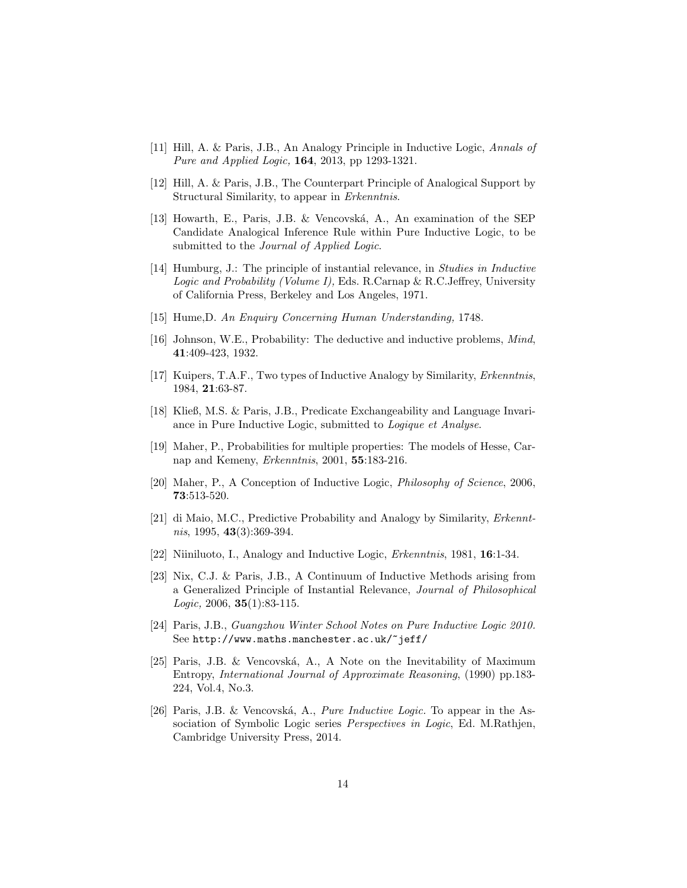- [11] Hill, A. & Paris, J.B., An Analogy Principle in Inductive Logic, Annals of Pure and Applied Logic, 164, 2013, pp 1293-1321.
- [12] Hill, A. & Paris, J.B., The Counterpart Principle of Analogical Support by Structural Similarity, to appear in Erkenntnis.
- [13] Howarth, E., Paris, J.B. & Vencovská, A., An examination of the SEP Candidate Analogical Inference Rule within Pure Inductive Logic, to be submitted to the *Journal of Applied Logic*.
- [14] Humburg, J.: The principle of instantial relevance, in Studies in Inductive Logic and Probability (Volume I), Eds. R.Carnap & R.C.Jeffrey, University of California Press, Berkeley and Los Angeles, 1971.
- [15] Hume,D. An Enquiry Concerning Human Understanding, 1748.
- [16] Johnson, W.E., Probability: The deductive and inductive problems, Mind, 41:409-423, 1932.
- [17] Kuipers, T.A.F., Two types of Inductive Analogy by Similarity, Erkenntnis, 1984, 21:63-87.
- [18] Kließ, M.S. & Paris, J.B., Predicate Exchangeability and Language Invariance in Pure Inductive Logic, submitted to Logique et Analyse.
- [19] Maher, P., Probabilities for multiple properties: The models of Hesse, Carnap and Kemeny, Erkenntnis, 2001, 55:183-216.
- [20] Maher, P., A Conception of Inductive Logic, Philosophy of Science, 2006, 73:513-520.
- [21] di Maio, M.C., Predictive Probability and Analogy by Similarity, Erkennt $nis, 1995, 43(3):369-394.$
- [22] Niiniluoto, I., Analogy and Inductive Logic, Erkenntnis, 1981, 16:1-34.
- [23] Nix, C.J. & Paris, J.B., A Continuum of Inductive Methods arising from a Generalized Principle of Instantial Relevance, Journal of Philosophical Logic, 2006, **35**(1):83-115.
- [24] Paris, J.B., Guangzhou Winter School Notes on Pure Inductive Logic 2010. See http://www.maths.manchester.ac.uk/~jeff/
- [25] Paris, J.B. & Vencovsk´a, A., A Note on the Inevitability of Maximum Entropy, International Journal of Approximate Reasoning, (1990) pp.183- 224, Vol.4, No.3.
- [26] Paris, J.B. & Vencovská, A., *Pure Inductive Logic*. To appear in the Association of Symbolic Logic series Perspectives in Logic, Ed. M.Rathjen, Cambridge University Press, 2014.